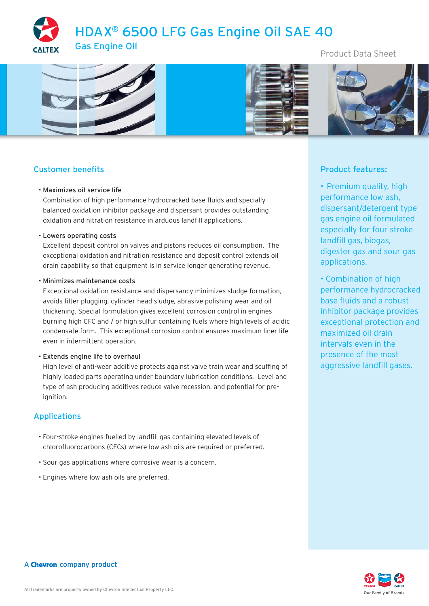HDAX® 6500 LFG Gas Engine Oil SAE 40



Product Data Sheet



# Customer benefits

### • Maximizes oil service life

Combination of high performance hydrocracked base fluids and specially balanced oxidation inhibitor package and dispersant provides outstanding oxidation and nitration resistance in arduous landfill applications.

#### • Lowers operating costs

Excellent deposit control on valves and pistons reduces oil consumption. The exceptional oxidation and nitration resistance and deposit control extends oil drain capability so that equipment is in service longer generating revenue.

#### • Minimizes maintenance costs

Exceptional oxidation resistance and dispersancy minimizes sludge formation, avoids filter plugging, cylinder head sludge, abrasive polishing wear and oil thickening. Special formulation gives excellent corrosion control in engines burning high CFC and / or high sulfur containing fuels where high levels of acidic condensate form. This exceptional corrosion control ensures maximum liner life even in intermittent operation.

### • Extends engine life to overhaul

High level of anti-wear additive protects against valve train wear and scuffing of highly loaded parts operating under boundary lubrication conditions. Level and type of ash producing additives reduce valve recession. and potential for preignition.

## Applications

- Four-stroke engines fuelled by landfill gas containing elevated levels of chlorofluorocarbons (CFCs) where low ash oils are required or preferred.
- Sour gas applications where corrosive wear is a concern.
- Engines where low ash oils are preferred.

## Product features:

• Premium quality, high performance low ash, dispersant/detergent type gas engine oil formulated especially for four stroke landfill gas, biogas, digester gas and sour gas applications.

• Combination of high performance hydrocracked base fluids and a robust inhibitor package provides exceptional protection and maximized oil drain intervals even in the presence of the most aggressive landfill gases.



### A Chevron company product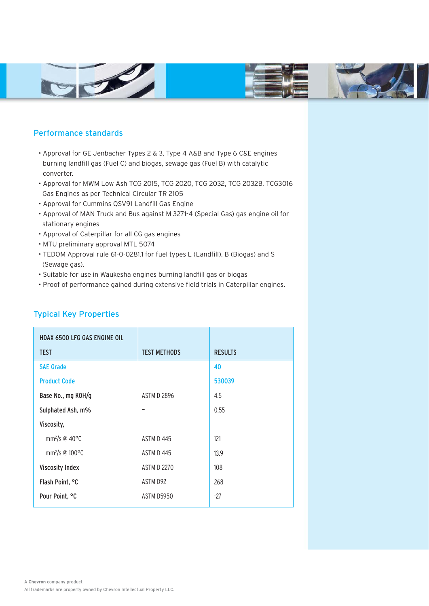





# Performance standards

- Approval for GE Jenbacher Types 2 & 3, Type 4 A&B and Type 6 C&E engines burning landfill gas (Fuel C) and biogas, sewage gas (Fuel B) with catalytic converter.
- Approval for MWM Low Ash TCG 2015, TCG 2020, TCG 2032, TCG 2032B, TCG3016 Gas Engines as per Technical Circular TR 2105
- Approval for Cummins QSV91 Landfill Gas Engine
- Approval of MAN Truck and Bus against M 3271-4 (Special Gas) gas engine oil for stationary engines
- Approval of Caterpillar for all CG gas engines
- MTU preliminary approval MTL 5074
- TEDOM Approval rule 61-0-0281.1 for fuel types L (Landfill), B (Biogas) and S (Sewage gas).
- Suitable for use in Waukesha engines burning landfill gas or biogas
- Proof of performance gained during extensive field trials in Caterpillar engines.

| <b>HDAX 6500 LFG GAS ENGINE OIL</b>  |                     |                |
|--------------------------------------|---------------------|----------------|
| <b>TEST</b>                          | <b>TEST METHODS</b> | <b>RESULTS</b> |
| <b>SAE Grade</b>                     |                     | 40             |
| <b>Product Code</b>                  |                     | 530039         |
| Base No., mg KOH/g                   | <b>ASTM D 2896</b>  | 4.5            |
| Sulphated Ash, m%                    |                     | 0.55           |
| Viscosity,                           |                     |                |
| mm <sup>2</sup> /s @ 40 $\degree$ C  | ASTM D 445          | 121            |
| mm <sup>2</sup> /s @ $100^{\circ}$ C | ASTM D 445          | 13.9           |
| <b>Viscosity Index</b>               | <b>ASTM D 2270</b>  | 108            |
| Flash Point, °C                      | ASTM D92            | 268            |
| Pour Point, °C                       | <b>ASTM D5950</b>   | $-27$          |

# Typical Key Properties